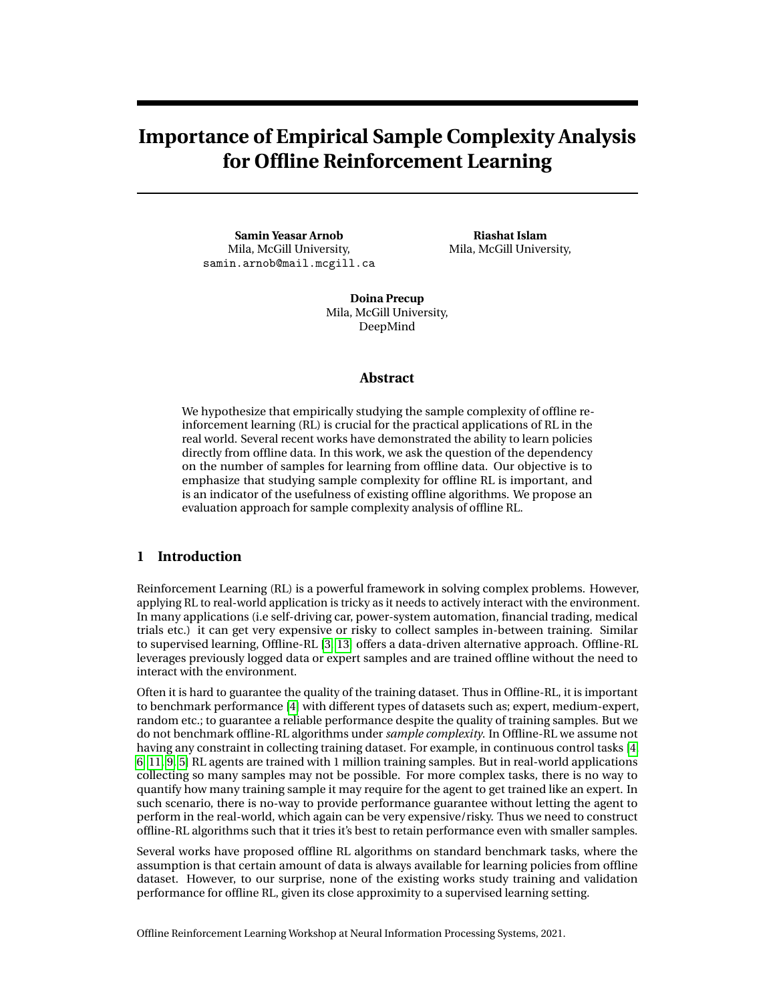# **Importance of Empirical Sample Complexity Analysis for Offline Reinforcement Learning**

**Samin Yeasar Arnob** Mila, McGill University, samin.arnob@mail.mcgill.ca

**Riashat Islam** Mila, McGill University,

**Doina Precup** Mila, McGill University, DeepMind

## **Abstract**

We hypothesize that empirically studying the sample complexity of offline reinforcement learning (RL) is crucial for the practical applications of RL in the real world. Several recent works have demonstrated the ability to learn policies directly from offline data. In this work, we ask the question of the dependency on the number of samples for learning from offline data. Our objective is to emphasize that studying sample complexity for offline RL is important, and is an indicator of the usefulness of existing offline algorithms. We propose an evaluation approach for sample complexity analysis of offline RL.

# **1 Introduction**

Reinforcement Learning (RL) is a powerful framework in solving complex problems. However, applying RL to real-world application is tricky as it needs to actively interact with the environment. In many applications (i.e self-driving car, power-system automation, financial trading, medical trials etc.) it can get very expensive or risky to collect samples in-between training. Similar to supervised learning, Offline-RL [3, 13] offers a data-driven alternative approach. Offline-RL leverages previously logged data or expert samples and are trained offline without the need to interact with the environment.

Often it is hard to guarantee the quality of the training dataset. Thus in Offline-RL, it is important to benchmark performance [4] with different types of datasets such as; expert, medium-expert, random etc.; to guarantee a reliable performance despite the quality of training samples. But we do not benchmark offline-RL algorithms under *sample complexity*. In Offline-RL we assume not having any constraint in collecting training dataset. For example, in continuous control tasks [4, 6, 11, 9, 5] RL agents are trained with 1 million training samples. But in real-world applications collecting so many samples may not be possible. For more complex tasks, there is no way to quantify how many training sample it may require for the agent to get trained like an expert. In such scenario, there is no-way to provide performance guarantee without letting the agent to perform in the real-world, which again can be very expensive/risky. Thus we need to construct offline-RL algorithms such that it tries it's best to retain performance even with smaller samples.

Several works have proposed offline RL algorithms on standard benchmark tasks, where the assumption is that certain amount of data is always available for learning policies from offline dataset. However, to our surprise, none of the existing works study training and validation performance for offline RL, given its close approximity to a supervised learning setting.

Offline Reinforcement Learning Workshop at Neural Information Processing Systems, 2021.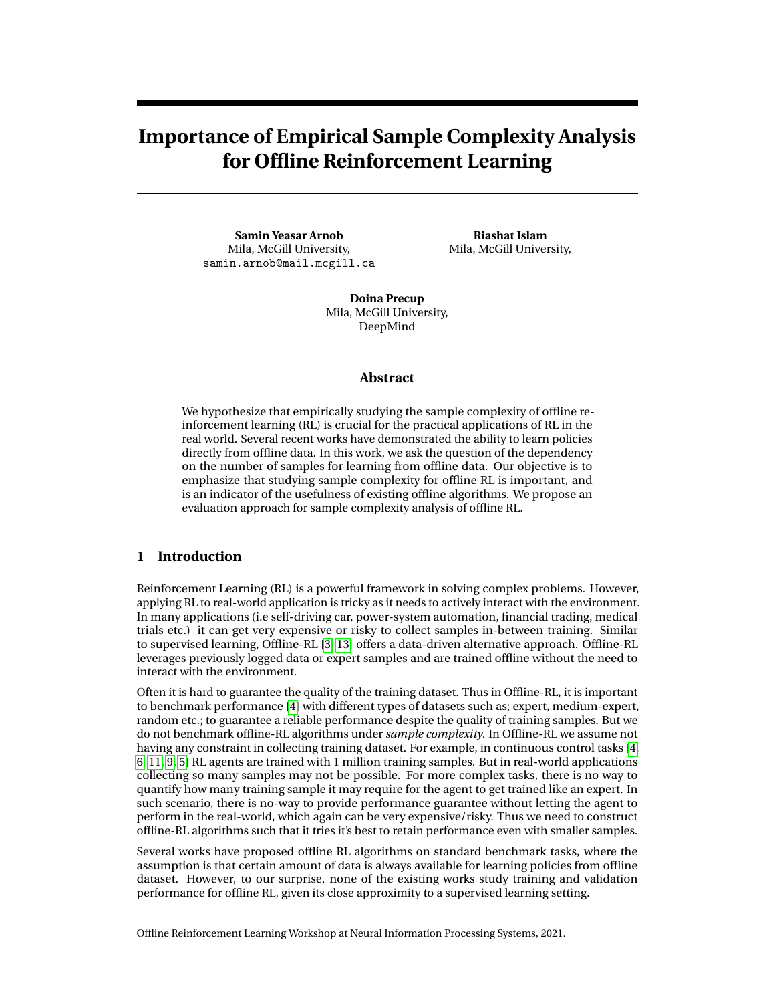It is shown in [1, 10] the offline RL agents exhibit overfitting, i.e., after certain number of gradient updates, their performance starts to deteriorates. [1, 10] restores to online performance evaluation to identify the performance drop and early stopping to avoid overfitting. But "true" offline RL requires offline policy evaluation. In this work we show offline RL agent overfits over the expert dataset very early on when trained with smaller number of training samples, i.e., improvement in minimizing the policy training objective gives a false notion of improvement, whereas policy evaluation on validation dataset, which can be done completely offline, indicate agent's actual performance.

Our key contributions are as follows :

- 1. We emphasize the importance of sample complexity analysis for offline RL, and compare performance of existing offline RL algorithms by varying the size of training dataset.
- 2. We propose that existing works should study overfitting and validation performance of offline RL algorithms that can be computed completely offline. Our comparison of the offline evaluation on the validation set replicate the policy performance trend of the online policy evaluation in MuJoCo continuous control tasks. Thus this provides insights on the offline RL algorithms performance, especially important when applied in the real-world applications.
- 3. Our empirical findings show that while existing offline algorithms can work really well under the standard benchmark size of training samples, the performance of these algorithms is quite different when studies under a low data regime. This indicates that certain algorithms are more likely to overfit than others. Along with data-diversity, sample-complexity analysis further validates agents reliability and robustness.

In this work, we emphasize the importance of sample complexity analysis for offline RL algorithms, which has perhaps been overlooked in existing studies. By ranging from a large data regime to a small data regime, we show that the performance of different offline RL algorithms is not always consistent across benchmark tasks. To further clarify our studies, we propose a training and validation split for offline RL, akin to the basic supervised learning problem, and find that different algorithms have different overfitting properties given the same algorithm complexity in terms of the policy and value functions. This suggests the importance of sample complexity analysis for offline RL, clearly showing that the existing performance metric may not always be a good indicator of the usefulness of an offline RL algorithm, especially when the goal is to take offline RL to real world applications.

# **2 Preliminaries**

We consider learning in a Markov decision process (MDP) described by the tuple (*S*, *A*,*P*,*R*). The MDP tuple consists of states *s* 2 *S*, actions *a* 2 *A*, transition dynamics  $P(s^{\delta} j_s, a)$ , and reward function  $r \notin R(s, a)$ . We use  $s_t$ ,  $a_t$  and  $r_t \notin R(s_t, a_t)$  to denote the state, action and reward at timestep t, respectively. A trajectory is made up of sequence of states, action and rewards  $\lambda \notin (s_0, a_0, r_0, s_1, a_1, r_1, ..., s_T, a_T, r_T)$ . For continuous control task we consider an infinite horizon, where  $T \nleq T$  and the goal in reinforcement learning is to learn a policy which maximizes the discounted expected return  $\mathbb{E}[\sum_{t \neq t'}^{T} c^t r_t]$  in an MDP. In offline reinforcement learning, instead of obtaining data through environment interactions, we only have access to some fixed limited dataset consisting of trajectory rollouts of arbitary policies.

## **3 Sample Complexity in Offline RL**

**Sample Complexity :** An important concept for our analysis is to define *sample complexity*. In general, by finding the sample complexity of any algorithm we refer to the number of training samples required to learn a good approximation of the target. But for complex task, especially in infinite state-action space it's not trivial to define this quantity, for our analysis we refer *sample complexity* as to sensitivity of the algorithms to training sample size.

**Experiment Setting :** In this section, we describe our framework and experimental pipeline for evaluating the sample complexity for different offline RL algorithms. We investigate sample complexity in continous control benchmark tasks, based on the D4RL dateset [4] which is considered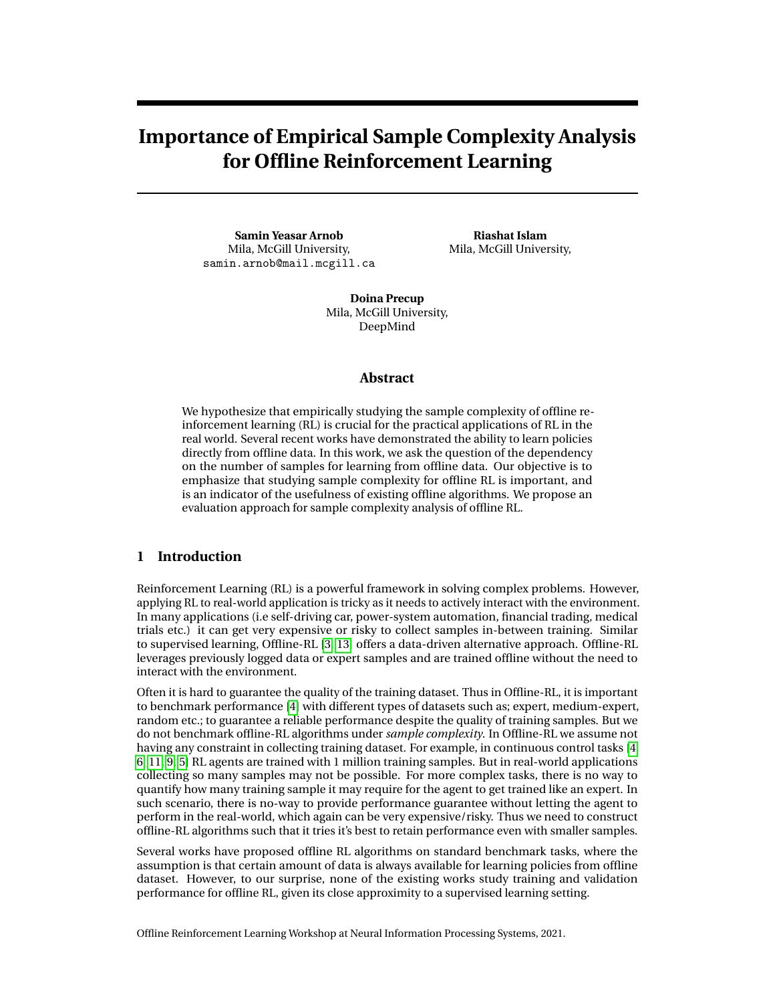as a standard dataset for most offline RL algorithms. For comparisons, we investigate sample complexity of the following algorithms : *Batch-Constrained deep Q-learning* (BCQ) [6], *Behavior Cloning* (BC, implemented in [12]) and TD3-BC [5]. We run all of our experiments for seed 0-4 and trained for 1M gradient updates. For all the algorithms we use the default network architecture and hyper-parameters. We share our further results in the Appendix.

#### **3.1 How does performance vary based on dataset size?**

Given training data, we compare performance for different sizes of the dataset, ranging from 1*M* samples (which is the standard sample size always used), to 100*K* and decreasing to 5000 samples.

For each of the algorithms and given the training data size, we train for 1M training updates and measure the *normalized score* metric as done in *D4RL* [4]. Experimental results comparing performance dependent on the total number of offline samples is presented in figure 1.

Our experimental results show that the performance drops for each Offline-RL algorithm as we reduce the number of training dataset. For all our offline RL algorithms, we compare the performance with *Discriminative Actor Critic* (DAC) [8] - adversarial imitation learning and *Off-policy Adversarial Inverse RL* (OAIRL) [2] method, which use the same number of expert samples but with the advantage of 1 million environment interactions. The advantage of environment interactions makes the comparison unfair. But the idea is to show, even with smaller expert samples adversarial imitation and IRL methods manages to get consistent performance. Comparetive experiments on these algorithms has proven to be significant later in the paper to support our claim that validation performance always correlates with policy's actual online evaluation improvement discussed in 3.2.1 ( further experiments are in Appendix A.2 ).

While this is a result that one would typically expect, we find an interesting phenomenon in our results. Note that the performance varies for each algorithm depending on the training data size. For example, while the recent state-of-the-art algorithm TD3-BC performs significantly better for 1M training sample, this algorithm is in fact worse for 5000 samples. This phenomenon can be seen in almost all of our experiment in figure 1 (except in 1(*f* )), where even though TD3-BC performs best for 1M standard sample size, it is the worst performing algorithm as we reduce the size of the dataset. The reason is due to the MSE regularization term in it's actor loss dictates the actor gradient update and thus overfits very easily with smaller training samples and we proof our hypothesis through validation performance in following section [3.2.](#page-2-0) We also see the similar trend in IQL's [7] performance but the reason is not so apparent, we need further experiments to hypothesize or come to a solid conclusion. This tells us that the performance of each of these algorithms can vary significantly, and comparisons are not always consistent, as to the best performing algorithm, depending on the training dataset size. This is exactly why we can not guarantee consistent performance with abundant training dataset.

In offline RL benchmark we compare algorithms on different categories of training samples i.e. expert, medium, medium-expert, random and the intuition is that, in real-world application we can not always guarantee to collect optimal-expert, thus we want to pick an algorithm that guarantees a better performance for any kind of dataset. Similarly, for any real world application there is no way to quantify the *"sufficient amount"* of data that we must collect so that training agent can provide expected performance. Thus we consider *sample complexity*, sensitivity of algorithms performance to training dataset size, as a metric to evaluate the offline-RL performance. An Offline-RL algorithm that give better performance with smaller training samples are more reliable in real-world application than the others. We find the sample complexity analysis to be a very useful metric to evaluate the reliability of Offline-RL algorithm.

## <span id="page-2-0"></span>**3.2 Does existing offline RL algorithms have overfitting phenomenon?**

We conjecture that the phenomenon observed in figure 1 hints to an overfitting phenomenon for offline RL algorithms. For offline RL, we consider an agent is overfitted over the training dataset when the training objective reduces the divergence between the policy action and expert action over the observed training states and yet fails to provide performance improvement in the oracle (online evaluation).

We emphasize that, to the best of our understanding, no previous works studied similar complexity analysis for different offline RL algorithms. Since most prior works only evaluate performance for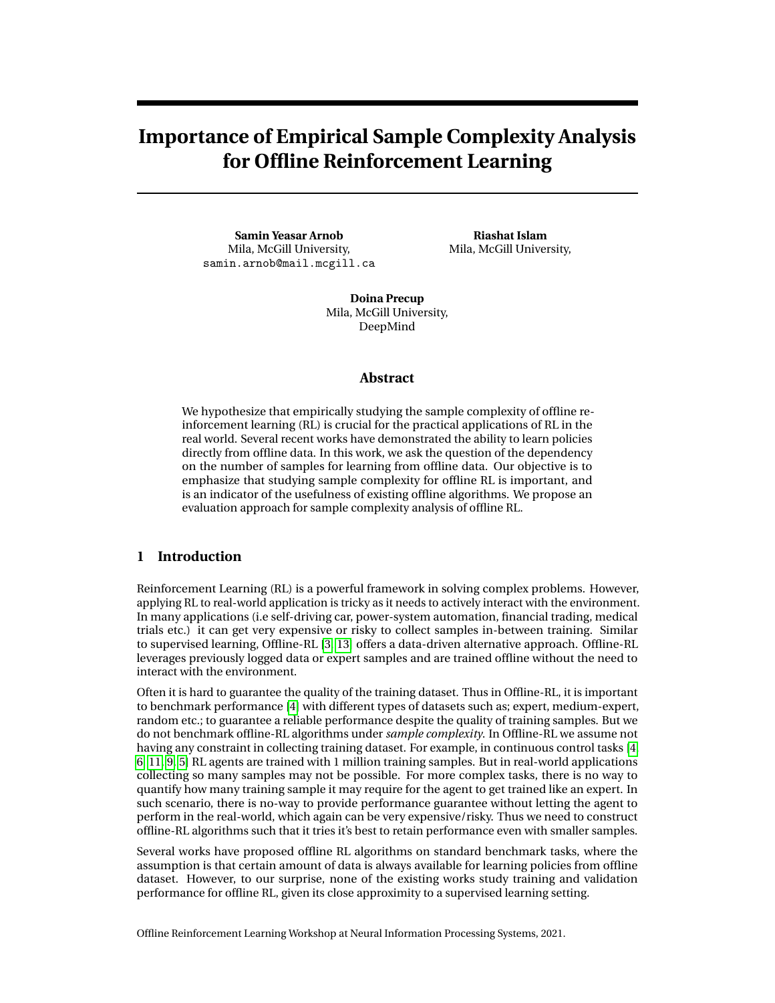

Figure 1: Performance Comparison (D4RL Normalized Score) of DAC with ofine-RL Varying Expert data.

1M sample sizes on D4RL benchmarks, we emphasize that this is not always a good measure, as we see in our analysis in this section. In the subsequent sections, we provide a measure to study the over tting phenomenon in of ine RL, and want to emphasize the readers, that since the goal of of ine RL is similar to supervised learning, such characterization of over tting and sample complexity is necessary for any of ine RL algorithm empirically.

3.2.1 Evaluating Over tting in Of ine RL

To prove our over tting hypothesis, similar to supervised learning, we propose to use separate validation dataset. We held-out 2000 expert trajectories (which is approximately 2000 ,000 {s<sub>V</sub>, a<sub>V</sub>, r<sub>V</sub>, s<sub>V</sub>} tuples) from the D4RL dataset [4] during training. We perform evaluation over the V validation dataset, which provide an unbiased and the true progress of the learning agent.

Metric on Training and Validation Dataset : We provide a metric for measuring training and validation performance in ofine RL, akin to the standard loss typically studied in supervised learning. As an evaluation criterion, we use the Mean-Square-Error (MSE) loss between expertaction  $a_V$  and policy-action  $\mathcal{U}_1(s_V)$  as to measure actor's deviation from the expert. Note that we use MSE instead of the KL divergence metric here, since most ofine RL algorithms that we study are based on deterministic policies, as typically in BCQ [6] and other algorithms.

Figure 2 shows the over tting phenomenon for different of ine RL algorithms. We plot the MSE loss over the training and validation dataset, and vary the sample size. For each algorithm, we train up to 1M iterations (as typically done in standard experiments), but with different sample sizes. We nd that as the sample size decreases, the difference between training and validation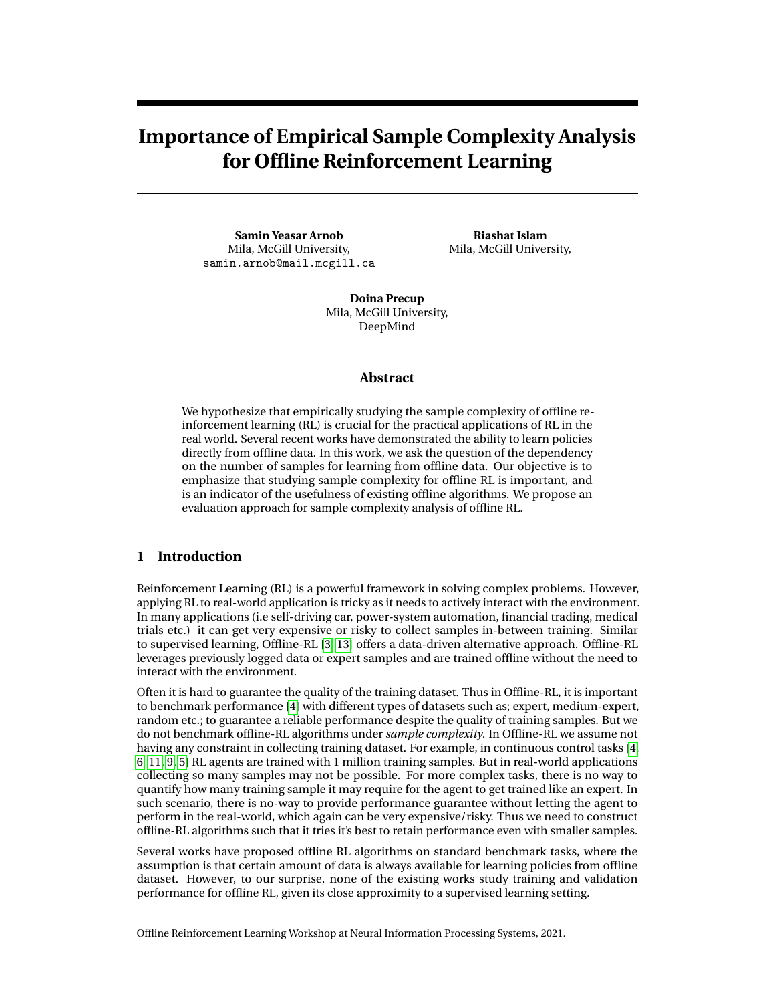

Figure 2: MSE loss between  $\mathcal{U}_1(s_E)$  and  $a_E$  for different Of ine-RL algorithms over the training (orange) and the validation (blue) dataset as we vary number of training expert samples

error increases signi cantly, which shows that the algorithms are more likely to over t (due to a more complex policy class compared to the dataset size).

We get a good generalization in estimation when we make improvement in estimating both the training and validation dataset. We know our training model is over-tting over the training the dataset when the training loss gets reduced with each gradient update but the performs worse on the validation set. For 1 million expert samples, algorithms performs lowest validation error. For 5000 training dataset the Actor gets the lowest training (orange) error but gets the highest validation error. It suggests that the Actor over ts the expert samples and we see the consequence in the policy performance (gure 1).

The largest deviation in training-validation performance in found for TD3-BC. This con rms our hypothesis for TD3-BC's performance drop with smaller training sample discussed in section 3.1 and consolidates the fact that validation performance and Ofine policy evaluation are correlated. We further show how the actors training loss gives a false sense of improvement in appendix A.2.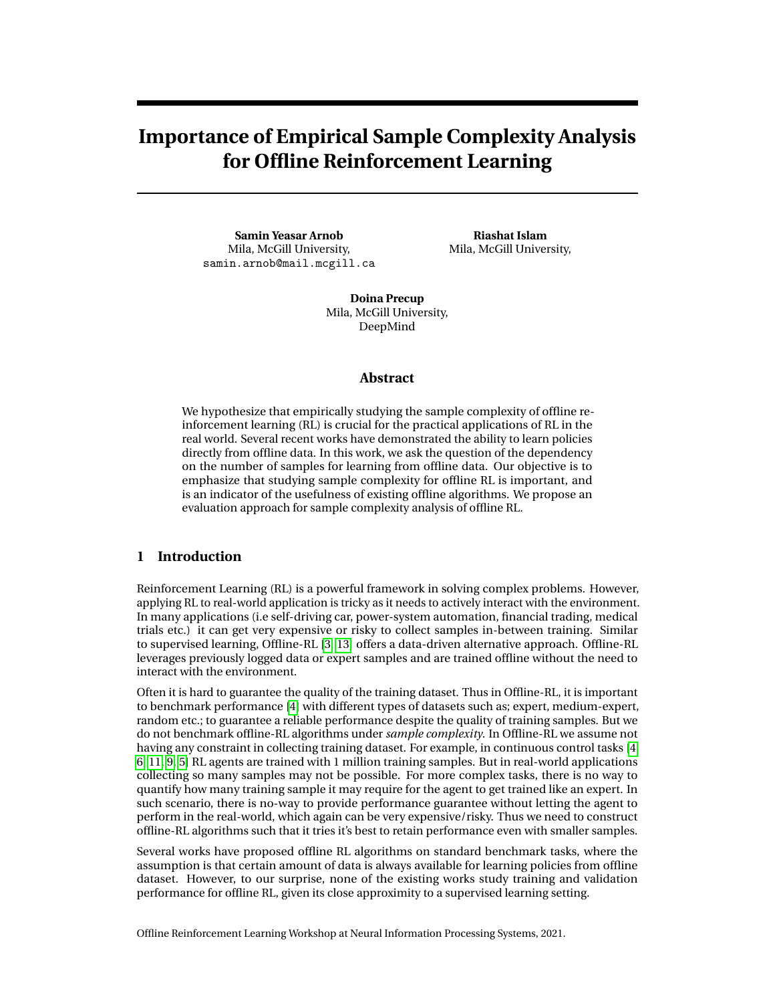#### 3.2.2 Validation Performance of Of ine RL algorithms

This section further con rms our conjecture above - the validation dataset is a useful metric to truly measure the performance improvement for different algorithms. Figure 3 further con rms this. We plot the cumulative performance return over 1M training iterations, for each of the sample size of the dataset over the HalfCheetah environment for different algorithms. We nd that the validation performance is consistent with the cumulative return metric - for example, in gure 3 (b) and 3( f ) for the TD3-BC algorithm, the performance improvement is highest when validation loss is the lowest; similarly for sample size of 5000, the validation error for TD3-BC is highest which leads to the lowest performance of this algorithm, as measured by the cumulative returns. Without evaluations in between training, we can further guarantee of an improvement using the validation performance. The evaluation on the validation dataset provide a clear indication whether training agent is improving or diverging from expected behavior.



Figure 3: Performance curve evaluated over 1M gradient updates of (a) DAC, (b) TD3-BC, (c) BCQ, (d) BC and corresponding MSE loss (e-h) between  $\frac{1}{4}$ (s<sub>V</sub>) and  $a_V$  over the validation dataset as we vary number of training dataset.

## 3.2.3 Further Discussion on the Validation Performance

In the -gure 4 we see a clear deviation in actor performance on the validation set as we decrease the training samples size. But we do not nd any signi cant change in DAC's estimation with expert sample complexity. Despite providing bad estimation compared to ofine-RL algorithms, DAC performs better. The ofine-RL algorithms are provided with expert samples and are compelled to mimic the expert behavior. And since the expert samples are collected from the same expert, validation estimation are co-related with algorithms performance. We do not have access to optimal expert  $\mathcal{V}_4^{\mathbf{a}}$ , rather collected expert trajectories are sub-optimal, thus DAC still performs better without proving good validation performance. Thus under sub-optimal expert, validation is most useful when we compare algorithms that mimics expert.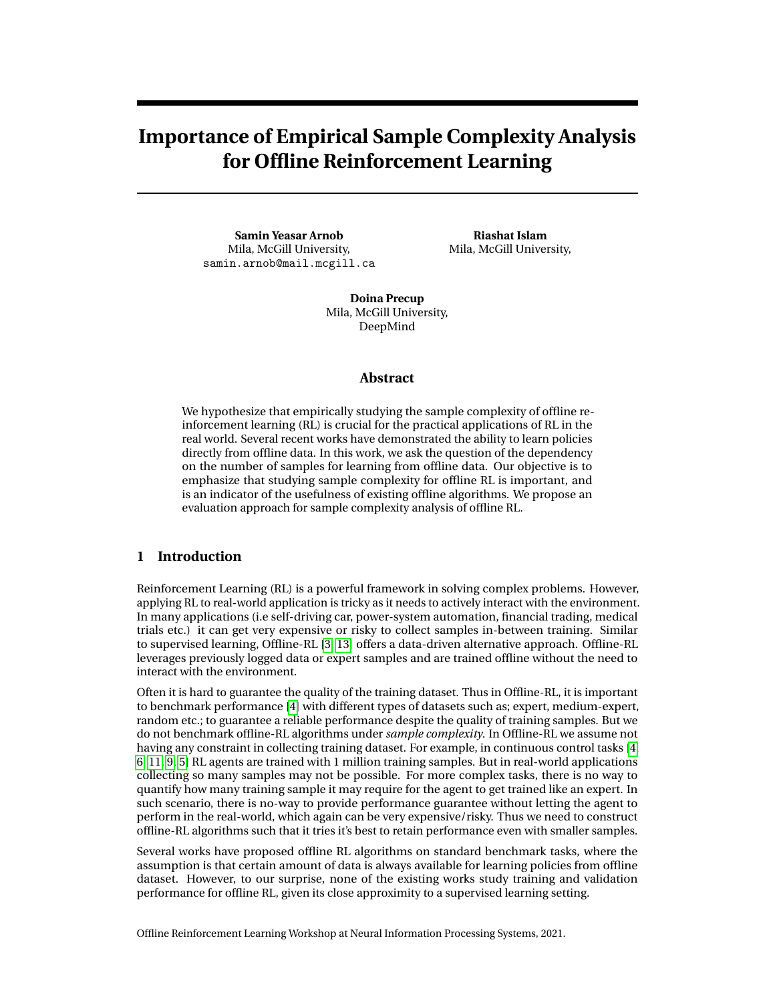## Figure 4: Compare Validation loss of different learning algorithms

# 4 Conclusion

We investigated the sample complexity of different of ine RL algorithms, by varying the size of the training dataset for the same training procedure for each of the algorithms. Our experimental studies leads to a surprising nding : the cumulative return performance as typically shown in standard of ine RL algorithms over 1M dataset size, is not always a good indicative measure of whether the algorithm is robust under smaller dataset. Our experiment with smaller training dataset shows, the performance of the state of the art of ine RL algorithms fall dramatically since the objective function do not consider improving sample complexity.

The key contribution of our work is therefore to provide an important message for studying of ine RL algorithms empirically. We emphasize that studying sample complexity of of ine RL algorithms is important, to truly evaluate the performance comparison for each algorithm. We show that current of ine-RL algorithms over t with smaller dataset and the best performing algorithm can perform very poorly under such condition. Thus to make Ofine-RL algorithm more reliable in real-world application, where collecting data is non-trivial and no way to quantify the required amount of the data to achieve expert like performance, we need to consider model over tting into account. We show how training loss can be misleading. Unlike recent studies [1, 10] that use online performance to evaluate over tting, we propose a complete of ine evaluation of the policy leveraging a validation dataset to foresee if agent is improving. Improving performance in validation set shows a consistent online performance improvement in all our experiments. Thus in real-world applications (i.e. self-driving car, drone auto-pilot, medical trails, controlling power system etc.), where a badly trained agent can be extremely risky or costly to evaluate, a validation performance can provide performance improvement guarantee.

## References

- [1] Rishabh Agarwal, Dale Schuurmans, and Mohammad Norouzi. "Striving for Simplicity in Offpolicy Deep Reinforcement Learning". In: CoRRabs/1907.04543 (2019). arXiv:1907.04543. URL: http://arxiv.org/abs/1907.04543 .
- [2] Samin Yeasar Arnob. "Off-Policy Adversarial Inverse Reinforcement Learning". In: CoRR abs/2005.01138 (2020). arXiv:2005.01138. URL: https://arxiv.org/abs/2005.01138 .
- [3] Damien Ernst, Pierre Geurts, and Louis Wehenkel. "Tree-based batch mode reinforcement learning". In: Journal of Machine Learning Research 6 (2005), pp. 503–556.
- [4] Justin Fu et al. "D4RL: Datasets for Deep Data-Driven Reinforcement Learning". In: CoRR abs/2004.07219 (2020). arXiv:2004.07219. URL: https://arxiv.org/abs/2004.07219 .
- [5] Scott Fujimoto and Shixiang Shane Gu. "A Minimalist Approach to Of ine Reinforcement Learning". In: CoRRabs/2106.06860 (2021). arXiv:2106.06860. URL: https://arxiv. org/abs/2106.06860 .
- [6] Scott Fujimoto, David Meger, and Doina Precup. "Off-Policy Deep Reinforcement Learning without Exploration". In: CoRRabs/1812.02900 (2018). arXiv: 1812.02900. URL: http: //arxiv.org/abs/1812.02900 .
- [7] Ilya Kostrikov, Ashvin Nair, and Sergey Levine. Ofine Reinforcement Learning with Implicit Q-Learning . 2021. arXiv:2110.06169 [cs.LG] .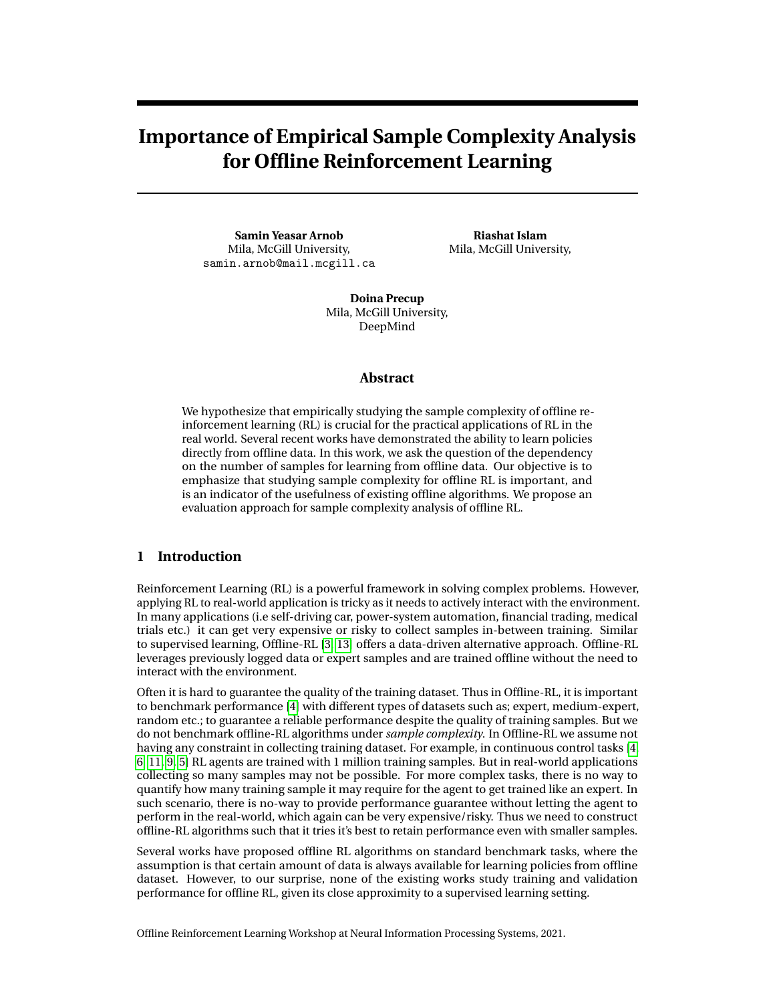- [8] Ilya Kostrikov et al. "Addressing Sample Inef ciency and Reward Bias in Inverse Reinforcement Learning". In: CoRRabs/1809.02925 (2018). arXiv: 1809.02925. URL: http: //arxiv.org/abs/1809.02925 .
- [9] Ilya Kostrikov et al. "Of ine Reinforcement Learning with Fisher Divergence Critic Regularization". In: CoRRabs/2103.08050 (2021). arXiv:2103.08050. URL: https://arxiv.org/ abs/2103.08050 .
- [10] Aviral Kumar et al. A Work ow for Of ine Model-Free Robotic Reinforcement Learning . 2021. arXiv: 2109.10813 [cs.LG] .
- [11] Aviral Kumar et al. "Conservative Q-Learning for Of ine Reinforcement Learning". In: CoRR abs/2006.04779 (2020). arXiv:2006.04779. URL: https://arxiv.org/abs/2006.04779 .
- [12] Aviral Kumar et al. "Stabilizing Off-Policy Q-Learning via Bootstrapping Error Reduction". In: CoRRabs/1906.00949 (2019). arXiv:1906.00949. URL: http://arxiv.org/abs/1906. 00949.
- [13] Sascha Lange, Thomas Gabel, and Martin Riedmiller. "Batch reinforcement learning". In: Reinforcement learning . Springer, 2012, pp. 45–73.

## A Appendix

A.1 Performance curve of different algorithm

In gure 5 we plot the mean performance of the algorithms for seeds 0-4 with 100% con dence interval over 1 million gradient updates. We compare the performance of each algorithm varying training sample size on MuJoCo control tasks.

#### A.2 Compare Training and Validation Actor Evaluation

We compare the actor's training loss and actor's validation loss (MSE(  $\mathcal{V}_{4J}(s_V)$ , a<sub>V</sub>)) over 1 million gradient updates. It clearly shows how actors training loss (blue) gives a false sense of imporvement.

For example, from the experiments conducted on  $|QL [7]$  (gure 6 ( $m \not | p$ )) shows, we nd the actor training loss (blue) to be declining as we update the actor network for all our experiment, even when we reduce the number expert training dataset (from columns right to left). In idea case, this indicates the actor's performance should be improving for all experiments. But the corresponding policy evaluation in online from gure 5( g) does not approve that.

Thus we use the validation set to perform the policy-action deviation from the experts. For larger expert dataset in the training assures a declining validation loss curve but the validation loss increases for smaller dataset, and proves that smaller expert over ts the policy. We see the similar pattern in all our of ine RL experiments.

For DAC and OAIRL, since the number of expert data has negligible impact (gure 5(an int)), the validation performance (gure 6 ( $a_i$  h)) is always decreases with the actor's network gradient update.